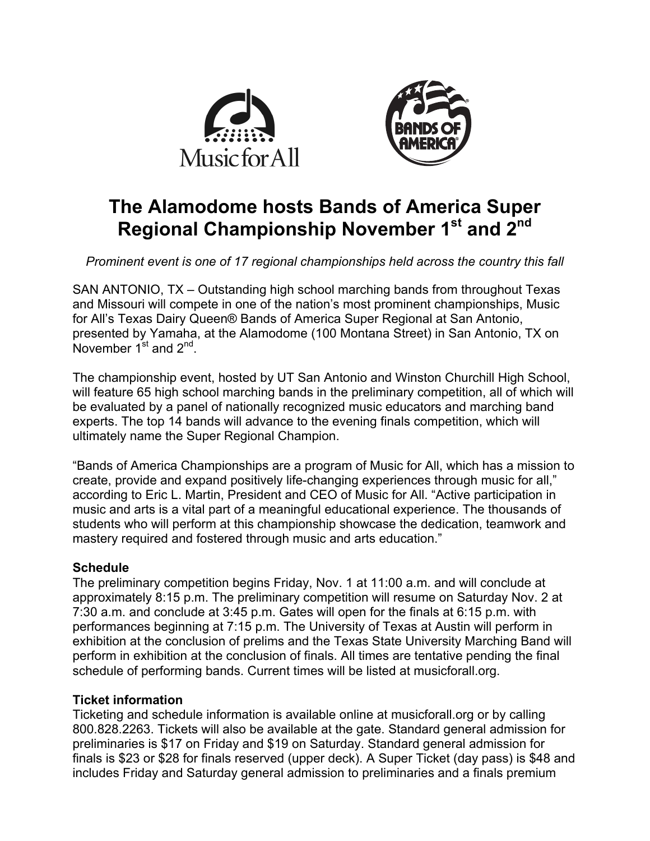



# **The Alamodome hosts Bands of America Super Regional Championship November 1st and 2nd**

*Prominent event is one of 17 regional championships held across the country this fall*

SAN ANTONIO, TX – Outstanding high school marching bands from throughout Texas and Missouri will compete in one of the nation's most prominent championships, Music for All's Texas Dairy Queen® Bands of America Super Regional at San Antonio, presented by Yamaha, at the Alamodome (100 Montana Street) in San Antonio, TX on November  $1^{st}$  and  $2^{nd}$ .

The championship event, hosted by UT San Antonio and Winston Churchill High School, will feature 65 high school marching bands in the preliminary competition, all of which will be evaluated by a panel of nationally recognized music educators and marching band experts. The top 14 bands will advance to the evening finals competition, which will ultimately name the Super Regional Champion.

"Bands of America Championships are a program of Music for All, which has a mission to create, provide and expand positively life-changing experiences through music for all," according to Eric L. Martin, President and CEO of Music for All. "Active participation in music and arts is a vital part of a meaningful educational experience. The thousands of students who will perform at this championship showcase the dedication, teamwork and mastery required and fostered through music and arts education."

## **Schedule**

The preliminary competition begins Friday, Nov. 1 at 11:00 a.m. and will conclude at approximately 8:15 p.m. The preliminary competition will resume on Saturday Nov. 2 at 7:30 a.m. and conclude at 3:45 p.m. Gates will open for the finals at 6:15 p.m. with performances beginning at 7:15 p.m. The University of Texas at Austin will perform in exhibition at the conclusion of prelims and the Texas State University Marching Band will perform in exhibition at the conclusion of finals. All times are tentative pending the final schedule of performing bands. Current times will be listed at musicforall.org.

### **Ticket information**

Ticketing and schedule information is available online at musicforall.org or by calling 800.828.2263. Tickets will also be available at the gate. Standard general admission for preliminaries is \$17 on Friday and \$19 on Saturday. Standard general admission for finals is \$23 or \$28 for finals reserved (upper deck). A Super Ticket (day pass) is \$48 and includes Friday and Saturday general admission to preliminaries and a finals premium